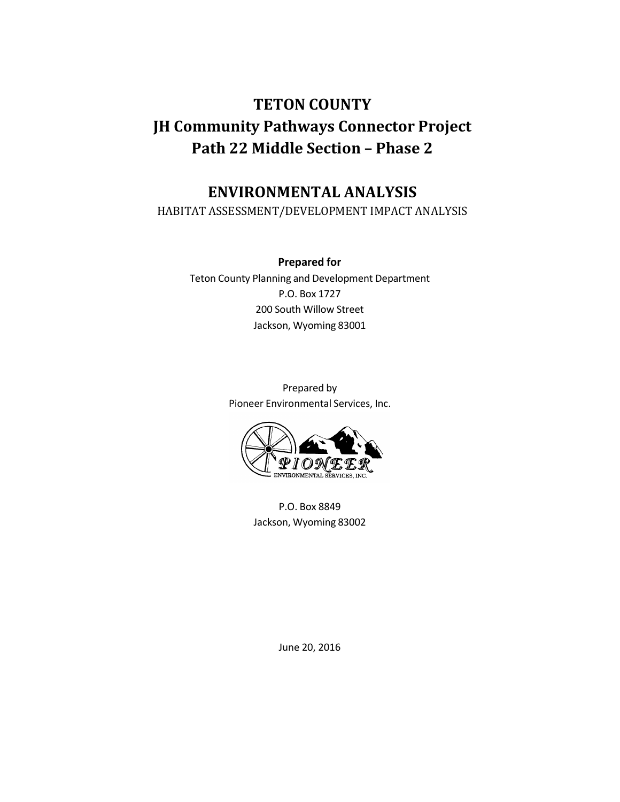# **TETON COUNTY JH Community Pathways Connector Project Path 22 Middle Section – Phase 2**

# **ENVIRONMENTAL ANALYSIS**

HABITAT ASSESSMENT/DEVELOPMENT IMPACT ANALYSIS

**Prepared for** Teton County Planning and Development Department P.O. Box 1727 200 South Willow Street Jackson, Wyoming 83001

> Prepared by Pioneer Environmental Services, Inc.



P.O. Box 8849 Jackson, Wyoming 83002

June 20, 2016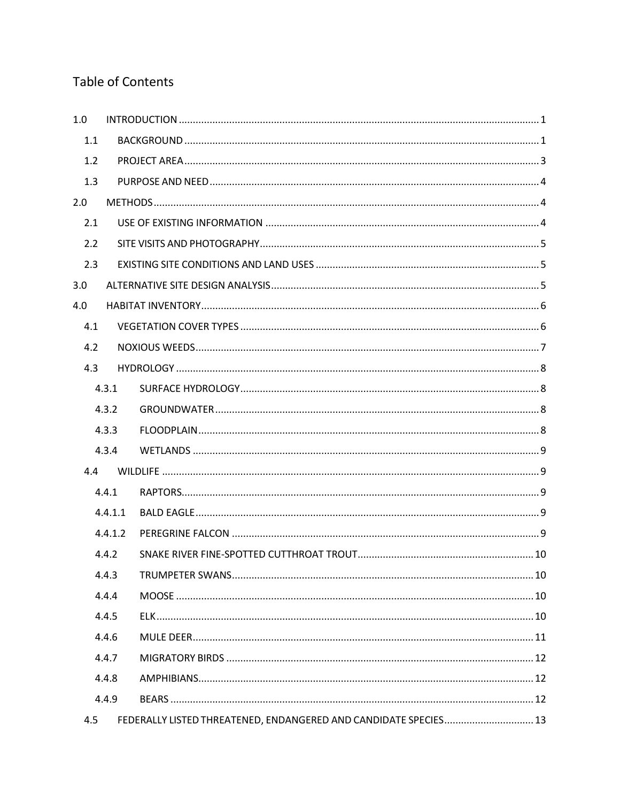# Table of Contents

| 1.0 |         |                                                                  |  |
|-----|---------|------------------------------------------------------------------|--|
| 1.1 |         |                                                                  |  |
| 1.2 |         |                                                                  |  |
| 1.3 |         |                                                                  |  |
| 2.0 |         |                                                                  |  |
| 2.1 |         |                                                                  |  |
| 2.2 |         |                                                                  |  |
| 2.3 |         |                                                                  |  |
| 3.0 |         |                                                                  |  |
| 4.0 |         |                                                                  |  |
| 4.1 |         |                                                                  |  |
| 4.2 |         |                                                                  |  |
| 4.3 |         |                                                                  |  |
|     | 4.3.1   |                                                                  |  |
|     | 4.3.2   |                                                                  |  |
|     | 4.3.3   |                                                                  |  |
|     | 4.3.4   |                                                                  |  |
| 4.4 |         |                                                                  |  |
|     | 4.4.1   |                                                                  |  |
|     | 4.4.1.1 |                                                                  |  |
|     | 4.4.1.2 |                                                                  |  |
|     | 4.4.2   |                                                                  |  |
|     | 4.4.3   |                                                                  |  |
|     | 4.4.4   |                                                                  |  |
|     | 4.4.5   |                                                                  |  |
|     | 4.4.6   |                                                                  |  |
|     | 4.4.7   |                                                                  |  |
|     | 4.4.8   |                                                                  |  |
|     | 4.4.9   |                                                                  |  |
| 4.5 |         | FEDERALLY LISTED THREATENED, ENDANGERED AND CANDIDATE SPECIES 13 |  |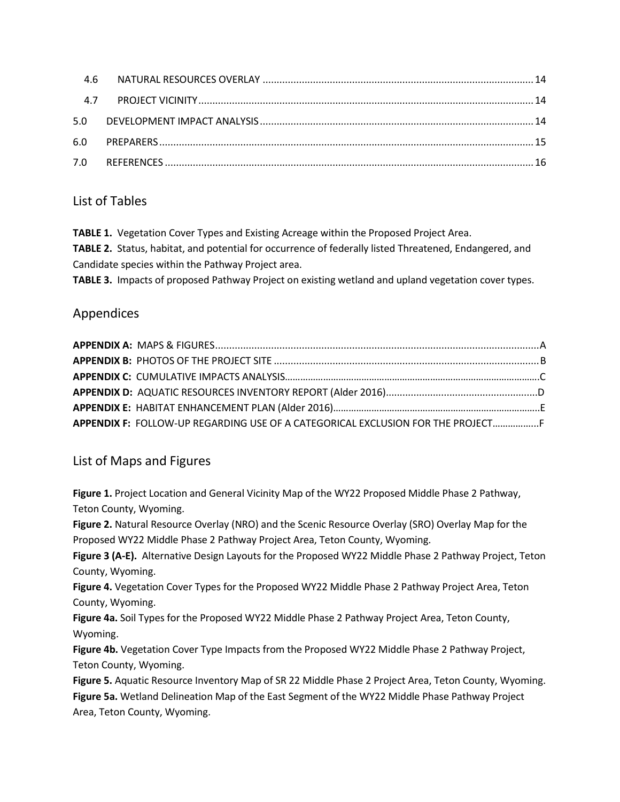### List of Tables

**TABLE 1.** Vegetation Cover Types and Existing Acreage within the Proposed Project Area. **TABLE 2.** Status, habitat, and potential for occurrence of federally listed Threatened, Endangered, and Candidate species within the Pathway Project area. **TABLE 3.** Impacts of proposed Pathway Project on existing wetland and upland vegetation cover types.

### Appendices

| APPENDIX F: FOLLOW-UP REGARDING USE OF A CATEGORICAL EXCLUSION FOR THE PROJECT F |  |
|----------------------------------------------------------------------------------|--|

### List of Maps and Figures

**Figure 1.** Project Location and General Vicinity Map of the WY22 Proposed Middle Phase 2 Pathway, Teton County, Wyoming.

**Figure 2.** Natural Resource Overlay (NRO) and the Scenic Resource Overlay (SRO) Overlay Map for the Proposed WY22 Middle Phase 2 Pathway Project Area, Teton County, Wyoming.

**Figure 3 (A-E).** Alternative Design Layouts for the Proposed WY22 Middle Phase 2 Pathway Project, Teton County, Wyoming.

**Figure 4.** Vegetation Cover Types for the Proposed WY22 Middle Phase 2 Pathway Project Area, Teton County, Wyoming.

**Figure 4a.** Soil Types for the Proposed WY22 Middle Phase 2 Pathway Project Area, Teton County, Wyoming.

**Figure 4b.** Vegetation Cover Type Impacts from the Proposed WY22 Middle Phase 2 Pathway Project, Teton County, Wyoming.

**Figure 5.** Aquatic Resource Inventory Map of SR 22 Middle Phase 2 Project Area, Teton County, Wyoming. **Figure 5a.** Wetland Delineation Map of the East Segment of the WY22 Middle Phase Pathway Project Area, Teton County, Wyoming.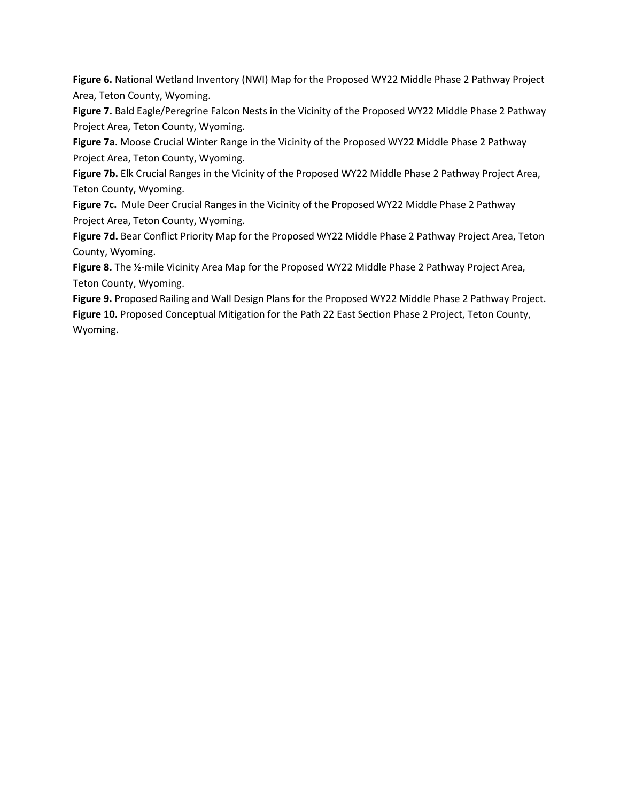**Figure 6.** National Wetland Inventory (NWI) Map for the Proposed WY22 Middle Phase 2 Pathway Project Area, Teton County, Wyoming.

Figure 7. Bald Eagle/Peregrine Falcon Nests in the Vicinity of the Proposed WY22 Middle Phase 2 Pathway Project Area, Teton County, Wyoming.

**Figure 7a**. Moose Crucial Winter Range in the Vicinity of the Proposed WY22 Middle Phase 2 Pathway Project Area, Teton County, Wyoming.

**Figure 7b.** Elk Crucial Ranges in the Vicinity of the Proposed WY22 Middle Phase 2 Pathway Project Area, Teton County, Wyoming.

**Figure 7c.** Mule Deer Crucial Ranges in the Vicinity of the Proposed WY22 Middle Phase 2 Pathway Project Area, Teton County, Wyoming.

**Figure 7d.** Bear Conflict Priority Map for the Proposed WY22 Middle Phase 2 Pathway Project Area, Teton County, Wyoming.

**Figure 8.** The ½-mile Vicinity Area Map for the Proposed WY22 Middle Phase 2 Pathway Project Area, Teton County, Wyoming.

**Figure 9.** Proposed Railing and Wall Design Plans for the Proposed WY22 Middle Phase 2 Pathway Project. **Figure 10.** Proposed Conceptual Mitigation for the Path 22 East Section Phase 2 Project, Teton County, Wyoming.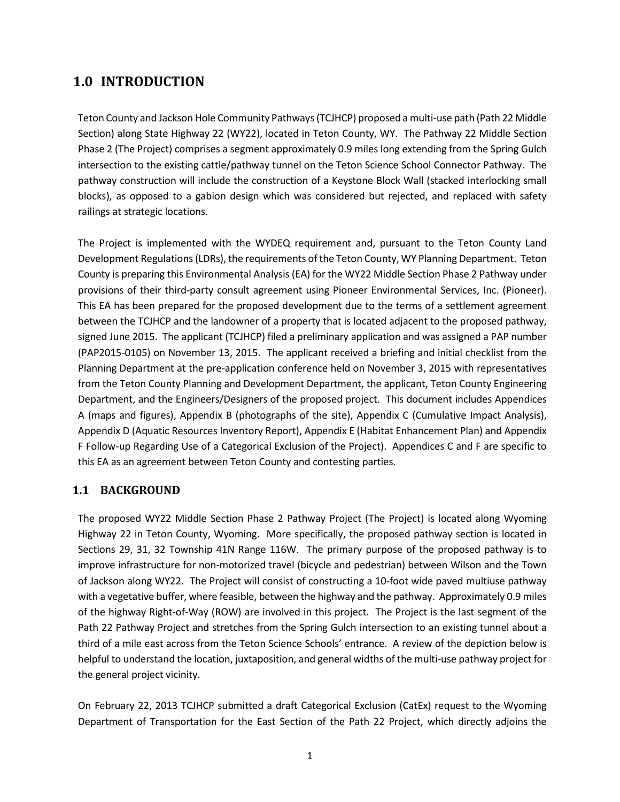## <span id="page-4-0"></span>**1.0 INTRODUCTION**

Teton County and Jackson Hole Community Pathways (TCJHCP) proposed a multi-use path (Path 22 Middle Section) along State Highway 22 (WY22), located in Teton County, WY. The Pathway 22 Middle Section Phase 2 (The Project) comprises a segment approximately 0.9 miles long extending from the Spring Gulch intersection to the existing cattle/pathway tunnel on the Teton Science School Connector Pathway. The pathway construction will include the construction of a Keystone Block Wall (stacked interlocking small blocks), as opposed to a gabion design which was considered but rejected, and replaced with safety railings at strategic locations.

The Project is implemented with the WYDEQ requirement and, pursuant to the Teton County Land Development Regulations (LDRs), the requirements of the Teton County, WY Planning Department. Teton County is preparing this Environmental Analysis (EA) for the WY22 Middle Section Phase 2 Pathway under provisions of their third-party consult agreement using Pioneer Environmental Services, Inc. (Pioneer). This EA has been prepared for the proposed development due to the terms of a settlement agreement between the TCJHCP and the landowner of a property that is located adjacent to the proposed pathway, signed June 2015. The applicant (TCJHCP) filed a preliminary application and was assigned a PAP number (PAP2015-0105) on November 13, 2015. The applicant received a briefing and initial checklist from the Planning Department at the pre-application conference held on November 3, 2015 with representatives from the Teton County Planning and Development Department, the applicant, Teton County Engineering Department, and the Engineers/Designers of the proposed project. This document includes Appendices A (maps and figures), Appendix B (photographs of the site), Appendix C (Cumulative Impact Analysis), Appendix D (Aquatic Resources Inventory Report), Appendix E (Habitat Enhancement Plan) and Appendix F Follow-up Regarding Use of a Categorical Exclusion of the Project). Appendices C and F are specific to this EA as an agreement between Teton County and contesting parties.

#### <span id="page-4-1"></span>**1.1 BACKGROUND**

The proposed WY22 Middle Section Phase 2 Pathway Project (The Project) is located along Wyoming Highway 22 in Teton County, Wyoming. More specifically, the proposed pathway section is located in Sections 29, 31, 32 Township 41N Range 116W. The primary purpose of the proposed pathway is to improve infrastructure for non-motorized travel (bicycle and pedestrian) between Wilson and the Town of Jackson along WY22. The Project will consist of constructing a 10-foot wide paved multiuse pathway with a vegetative buffer, where feasible, between the highway and the pathway. Approximately 0.9 miles of the highway Right-of-Way (ROW) are involved in this project. The Project is the last segment of the Path 22 Pathway Project and stretches from the Spring Gulch intersection to an existing tunnel about a third of a mile east across from the Teton Science Schools' entrance. A review of the depiction below is helpful to understand the location, juxtaposition, and general widths of the multi-use pathway project for the general project vicinity.

On February 22, 2013 TCJHCP submitted a draft Categorical Exclusion (CatEx) request to the Wyoming Department of Transportation for the East Section of the Path 22 Project, which directly adjoins the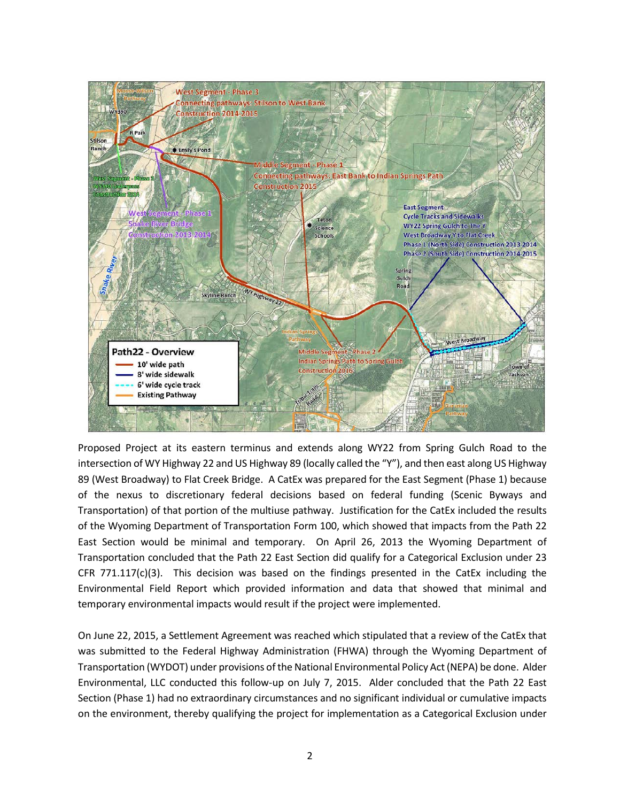

Proposed Project at its eastern terminus and extends along WY22 from Spring Gulch Road to the intersection of WY Highway 22 and US Highway 89 (locally called the "Y"), and then east along US Highway 89 (West Broadway) to Flat Creek Bridge. A CatEx was prepared for the East Segment (Phase 1) because of the nexus to discretionary federal decisions based on federal funding (Scenic Byways and Transportation) of that portion of the multiuse pathway. Justification for the CatEx included the results of the Wyoming Department of Transportation Form 100, which showed that impacts from the Path 22 East Section would be minimal and temporary. On April 26, 2013 the Wyoming Department of Transportation concluded that the Path 22 East Section did qualify for a Categorical Exclusion under 23 CFR  $771.117(c)(3)$ . This decision was based on the findings presented in the CatEx including the Environmental Field Report which provided information and data that showed that minimal and temporary environmental impacts would result if the project were implemented.

On June 22, 2015, a Settlement Agreement was reached which stipulated that a review of the CatEx that was submitted to the Federal Highway Administration (FHWA) through the Wyoming Department of Transportation (WYDOT) under provisions of the National Environmental Policy Act (NEPA) be done. Alder Environmental, LLC conducted this follow-up on July 7, 2015. Alder concluded that the Path 22 East Section (Phase 1) had no extraordinary circumstances and no significant individual or cumulative impacts on the environment, thereby qualifying the project for implementation as a Categorical Exclusion under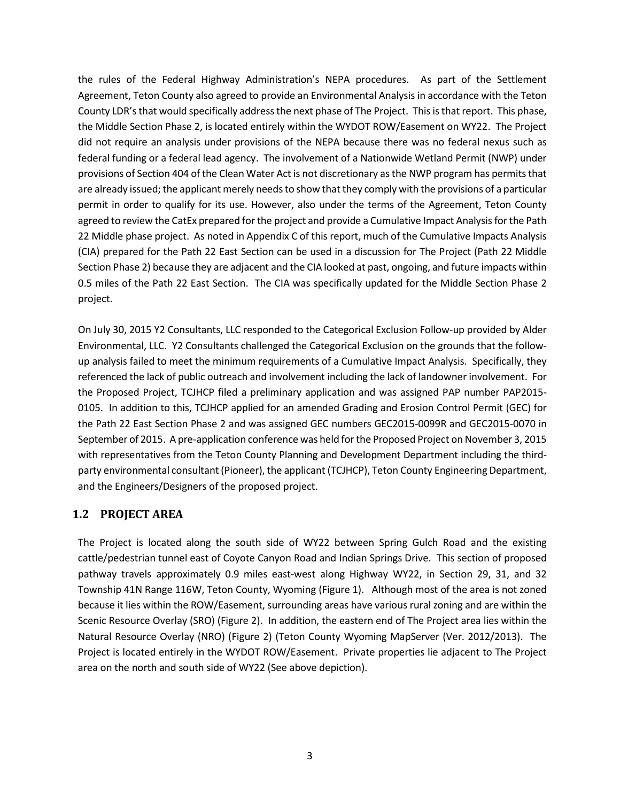the rules of the Federal Highway Administration's NEPA procedures. As part of the Settlement Agreement, Teton County also agreed to provide an Environmental Analysis in accordance with the Teton County LDR's that would specifically address the next phase of The Project. This is that report. This phase, the Middle Section Phase 2, is located entirely within the WYDOT ROW/Easement on WY22. The Project did not require an analysis under provisions of the NEPA because there was no federal nexus such as federal funding or a federal lead agency. The involvement of a Nationwide Wetland Permit (NWP) under provisions of Section 404 of the Clean Water Act is not discretionary as the NWP program has permits that are already issued; the applicant merely needs to show that they comply with the provisions of a particular permit in order to qualify for its use. However, also under the terms of the Agreement, Teton County agreed to review the CatEx prepared for the project and provide a Cumulative Impact Analysis for the Path 22 Middle phase project. As noted in Appendix C of this report, much of the Cumulative Impacts Analysis (CIA) prepared for the Path 22 East Section can be used in a discussion for The Project (Path 22 Middle Section Phase 2) because they are adjacent and the CIA looked at past, ongoing, and future impacts within 0.5 miles of the Path 22 East Section. The CIA was specifically updated for the Middle Section Phase 2 project.

On July 30, 2015 Y2 Consultants, LLC responded to the Categorical Exclusion Follow-up provided by Alder Environmental, LLC. Y2 Consultants challenged the Categorical Exclusion on the grounds that the followup analysis failed to meet the minimum requirements of a Cumulative Impact Analysis. Specifically, they referenced the lack of public outreach and involvement including the lack of landowner involvement. For the Proposed Project, TCJHCP filed a preliminary application and was assigned PAP number PAP2015- 0105. In addition to this, TCJHCP applied for an amended Grading and Erosion Control Permit (GEC) for the Path 22 East Section Phase 2 and was assigned GEC numbers GEC2015-0099R and GEC2015-0070 in September of 2015. A pre-application conference was held for the Proposed Project on November 3, 2015 with representatives from the Teton County Planning and Development Department including the thirdparty environmental consultant (Pioneer), the applicant (TCJHCP), Teton County Engineering Department, and the Engineers/Designers of the proposed project.

#### <span id="page-6-0"></span>**1.2 PROJECT AREA**

The Project is located along the south side of WY22 between Spring Gulch Road and the existing cattle/pedestrian tunnel east of Coyote Canyon Road and Indian Springs Drive. This section of proposed pathway travels approximately 0.9 miles east-west along Highway WY22, in Section 29, 31, and 32 Township 41N Range 116W, Teton County, Wyoming (Figure 1). Although most of the area is not zoned because it lies within the ROW/Easement, surrounding areas have various rural zoning and are within the Scenic Resource Overlay (SRO) (Figure 2). In addition, the eastern end of The Project area lies within the Natural Resource Overlay (NRO) (Figure 2) (Teton County Wyoming MapServer (Ver. 2012/2013). The Project is located entirely in the WYDOT ROW/Easement. Private properties lie adjacent to The Project area on the north and south side of WY22 (See above depiction).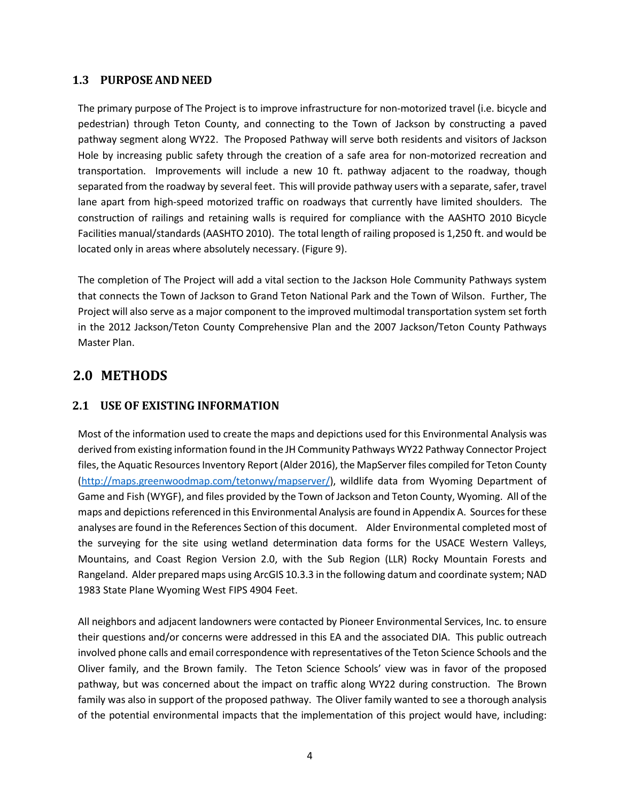#### <span id="page-7-0"></span>**1.3 PURPOSE AND NEED**

The primary purpose of The Project is to improve infrastructure for non-motorized travel (i.e. bicycle and pedestrian) through Teton County, and connecting to the Town of Jackson by constructing a paved pathway segment along WY22. The Proposed Pathway will serve both residents and visitors of Jackson Hole by increasing public safety through the creation of a safe area for non-motorized recreation and transportation. Improvements will include a new 10 ft. pathway adjacent to the roadway, though separated from the roadway by several feet. This will provide pathway users with a separate, safer, travel lane apart from high-speed motorized traffic on roadways that currently have limited shoulders. The construction of railings and retaining walls is required for compliance with the AASHTO 2010 Bicycle Facilities manual/standards (AASHTO 2010). The total length of railing proposed is 1,250 ft. and would be located only in areas where absolutely necessary. (Figure 9).

The completion of The Project will add a vital section to the Jackson Hole Community Pathways system that connects the Town of Jackson to Grand Teton National Park and the Town of Wilson. Further, The Project will also serve as a major component to the improved multimodal transportation system set forth in the 2012 Jackson/Teton County Comprehensive Plan and the 2007 Jackson/Teton County Pathways Master Plan.

## <span id="page-7-1"></span>**2.0 METHODS**

#### <span id="page-7-2"></span>**2.1 USE OF EXISTING INFORMATION**

Most of the information used to create the maps and depictions used for this Environmental Analysis was derived from existing information found in the JH Community Pathways WY22 Pathway Connector Project files, the Aquatic Resources Inventory Report (Alder 2016), the MapServer files compiled for Teton County [\(http://maps.greenwoodmap.com/tetonwy/mapserver/\)](http://maps.greenwoodmap.com/tetonwy/mapserver/), wildlife data from Wyoming Department of Game and Fish (WYGF), and files provided by the Town of Jackson and Teton County, Wyoming. All of the maps and depictions referenced in this Environmental Analysis are found in Appendix A. Sources for these analyses are found in the References Section of this document. Alder Environmental completed most of the surveying for the site using wetland determination data forms for the USACE Western Valleys, Mountains, and Coast Region Version 2.0, with the Sub Region (LLR) Rocky Mountain Forests and Rangeland. Alder prepared maps using ArcGIS 10.3.3 in the following datum and coordinate system; NAD 1983 State Plane Wyoming West FIPS 4904 Feet.

All neighbors and adjacent landowners were contacted by Pioneer Environmental Services, Inc. to ensure their questions and/or concerns were addressed in this EA and the associated DIA. This public outreach involved phone calls and email correspondence with representatives of the Teton Science Schools and the Oliver family, and the Brown family. The Teton Science Schools' view was in favor of the proposed pathway, but was concerned about the impact on traffic along WY22 during construction. The Brown family was also in support of the proposed pathway. The Oliver family wanted to see a thorough analysis of the potential environmental impacts that the implementation of this project would have, including: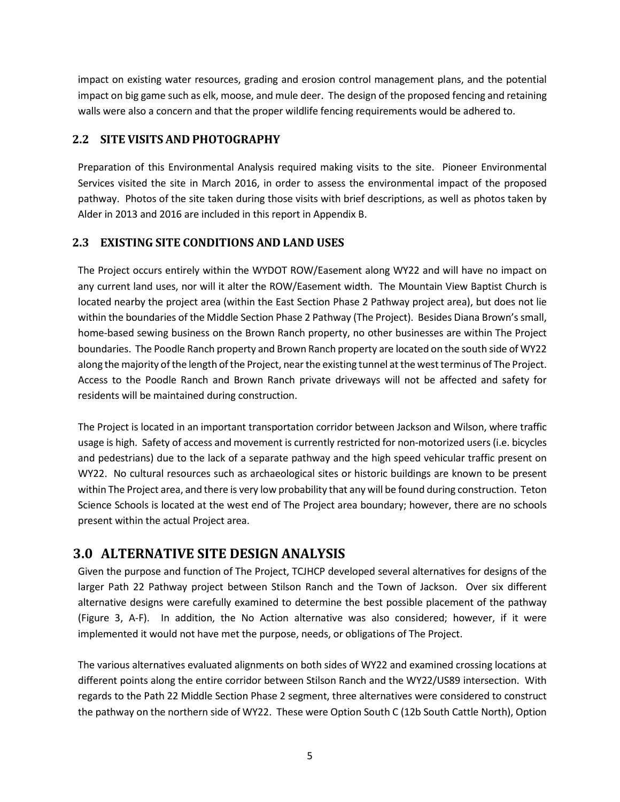impact on existing water resources, grading and erosion control management plans, and the potential impact on big game such as elk, moose, and mule deer. The design of the proposed fencing and retaining walls were also a concern and that the proper wildlife fencing requirements would be adhered to.

#### <span id="page-8-0"></span>**2.2 SITE VISITS AND PHOTOGRAPHY**

Preparation of this Environmental Analysis required making visits to the site. Pioneer Environmental Services visited the site in March 2016, in order to assess the environmental impact of the proposed pathway. Photos of the site taken during those visits with brief descriptions, as well as photos taken by Alder in 2013 and 2016 are included in this report in Appendix B.

#### <span id="page-8-1"></span>**2.3 EXISTING SITE CONDITIONS AND LAND USES**

The Project occurs entirely within the WYDOT ROW/Easement along WY22 and will have no impact on any current land uses, nor will it alter the ROW/Easement width. The Mountain View Baptist Church is located nearby the project area (within the East Section Phase 2 Pathway project area), but does not lie within the boundaries of the Middle Section Phase 2 Pathway (The Project). Besides Diana Brown's small, home-based sewing business on the Brown Ranch property, no other businesses are within The Project boundaries. The Poodle Ranch property and Brown Ranch property are located on the south side of WY22 along the majority of the length of the Project, near the existing tunnel at the west terminus of The Project. Access to the Poodle Ranch and Brown Ranch private driveways will not be affected and safety for residents will be maintained during construction.

The Project is located in an important transportation corridor between Jackson and Wilson, where traffic usage is high. Safety of access and movement is currently restricted for non-motorized users (i.e. bicycles and pedestrians) due to the lack of a separate pathway and the high speed vehicular traffic present on WY22. No cultural resources such as archaeological sites or historic buildings are known to be present within The Project area, and there is very low probability that any will be found during construction. Teton Science Schools is located at the west end of The Project area boundary; however, there are no schools present within the actual Project area.

## <span id="page-8-2"></span>**3.0 ALTERNATIVE SITE DESIGN ANALYSIS**

Given the purpose and function of The Project, TCJHCP developed several alternatives for designs of the larger Path 22 Pathway project between Stilson Ranch and the Town of Jackson. Over six different alternative designs were carefully examined to determine the best possible placement of the pathway (Figure 3, A-F). In addition, the No Action alternative was also considered; however, if it were implemented it would not have met the purpose, needs, or obligations of The Project.

The various alternatives evaluated alignments on both sides of WY22 and examined crossing locations at different points along the entire corridor between Stilson Ranch and the WY22/US89 intersection. With regards to the Path 22 Middle Section Phase 2 segment, three alternatives were considered to construct the pathway on the northern side of WY22. These were Option South C (12b South Cattle North), Option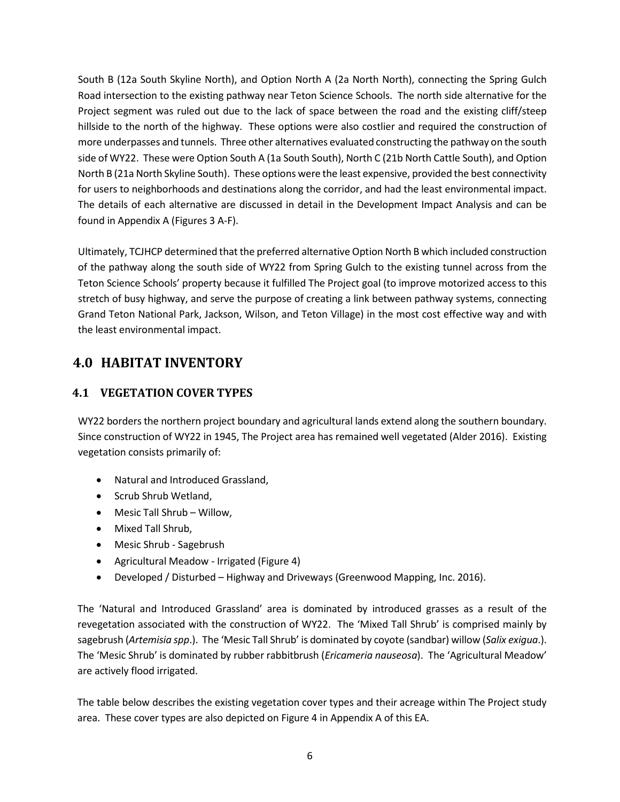South B (12a South Skyline North), and Option North A (2a North North), connecting the Spring Gulch Road intersection to the existing pathway near Teton Science Schools. The north side alternative for the Project segment was ruled out due to the lack of space between the road and the existing cliff/steep hillside to the north of the highway. These options were also costlier and required the construction of more underpasses and tunnels. Three other alternatives evaluated constructing the pathway on the south side of WY22. These were Option South A (1a South South), North C (21b North Cattle South), and Option North B (21a North Skyline South). These options were the least expensive, provided the best connectivity for users to neighborhoods and destinations along the corridor, and had the least environmental impact. The details of each alternative are discussed in detail in the Development Impact Analysis and can be found in Appendix A (Figures 3 A-F).

Ultimately, TCJHCP determined that the preferred alternative Option North B which included construction of the pathway along the south side of WY22 from Spring Gulch to the existing tunnel across from the Teton Science Schools' property because it fulfilled The Project goal (to improve motorized access to this stretch of busy highway, and serve the purpose of creating a link between pathway systems, connecting Grand Teton National Park, Jackson, Wilson, and Teton Village) in the most cost effective way and with the least environmental impact.

## <span id="page-9-0"></span>**4.0 HABITAT INVENTORY**

#### <span id="page-9-1"></span>**4.1 VEGETATION COVER TYPES**

WY22 borders the northern project boundary and agricultural lands extend along the southern boundary. Since construction of WY22 in 1945, The Project area has remained well vegetated (Alder 2016). Existing vegetation consists primarily of:

- Natural and Introduced Grassland,
- Scrub Shrub Wetland,
- Mesic Tall Shrub Willow,
- Mixed Tall Shrub,
- Mesic Shrub Sagebrush
- Agricultural Meadow Irrigated (Figure 4)
- Developed / Disturbed Highway and Driveways (Greenwood Mapping, Inc. 2016).

The 'Natural and Introduced Grassland' area is dominated by introduced grasses as a result of the revegetation associated with the construction of WY22. The 'Mixed Tall Shrub' is comprised mainly by sagebrush (*Artemisia spp*.). The 'Mesic Tall Shrub' is dominated by coyote (sandbar) willow (*Salix exigua*.). The 'Mesic Shrub' is dominated by rubber rabbitbrush (*Ericameria nauseosa*). The 'Agricultural Meadow' are actively flood irrigated.

The table below describes the existing vegetation cover types and their acreage within The Project study area. These cover types are also depicted on Figure 4 in Appendix A of this EA.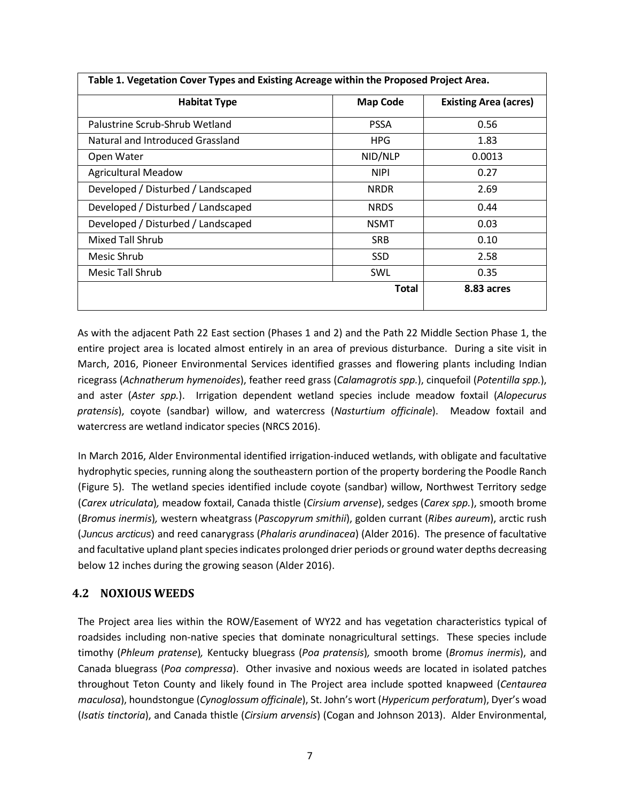| Table 1. Vegetation Cover Types and Existing Acreage within the Proposed Project Area. |                 |                              |  |
|----------------------------------------------------------------------------------------|-----------------|------------------------------|--|
| <b>Habitat Type</b>                                                                    | <b>Map Code</b> | <b>Existing Area (acres)</b> |  |
| Palustrine Scrub-Shrub Wetland                                                         | <b>PSSA</b>     | 0.56                         |  |
| Natural and Introduced Grassland                                                       | HPG.            | 1.83                         |  |
| Open Water                                                                             | NID/NLP         | 0.0013                       |  |
| <b>Agricultural Meadow</b>                                                             | <b>NIPI</b>     | 0.27                         |  |
| Developed / Disturbed / Landscaped                                                     | <b>NRDR</b>     | 2.69                         |  |
| Developed / Disturbed / Landscaped                                                     | <b>NRDS</b>     | 0.44                         |  |
| Developed / Disturbed / Landscaped                                                     | <b>NSMT</b>     | 0.03                         |  |
| Mixed Tall Shrub                                                                       | <b>SRB</b>      | 0.10                         |  |
| Mesic Shrub                                                                            | <b>SSD</b>      | 2.58                         |  |
| Mesic Tall Shrub                                                                       | SWL             | 0.35                         |  |
|                                                                                        | Total           | 8.83 acres                   |  |

As with the adjacent Path 22 East section (Phases 1 and 2) and the Path 22 Middle Section Phase 1, the entire project area is located almost entirely in an area of previous disturbance. During a site visit in March, 2016, Pioneer Environmental Services identified grasses and flowering plants including Indian ricegrass (*Achnatherum hymenoides*), feather reed grass (*Calamagrotis spp.*), cinquefoil (*Potentilla spp.*), and aster (*Aster spp.*). Irrigation dependent wetland species include meadow foxtail (*Alopecurus pratensis*), coyote (sandbar) willow, and watercress (*Nasturtium officinale*). Meadow foxtail and watercress are wetland indicator species (NRCS 2016).

In March 2016, Alder Environmental identified irrigation-induced wetlands, with obligate and facultative hydrophytic species, running along the southeastern portion of the property bordering the Poodle Ranch (Figure 5). The wetland species identified include coyote (sandbar) willow, Northwest Territory sedge (*Carex utriculata*)*,* meadow foxtail, Canada thistle (*Cirsium arvense*), sedges (*Carex spp.*), smooth brome (*Bromus inermis*)*,* western wheatgrass (*Pascopyrum smithii*), golden currant (*Ribes aureum*), arctic rush (*Juncus arcticus*) and reed canarygrass (*Phalaris arundinacea*) (Alder 2016). The presence of facultative and facultative upland plant species indicates prolonged drier periods or ground water depths decreasing below 12 inches during the growing season (Alder 2016).

#### <span id="page-10-0"></span>**4.2 NOXIOUS WEEDS**

The Project area lies within the ROW/Easement of WY22 and has vegetation characteristics typical of roadsides including non-native species that dominate nonagricultural settings. These species include timothy (*Phleum pratense*)*,* Kentucky bluegrass (*Poa pratensis*)*,* smooth brome (*Bromus inermis*), and Canada bluegrass (*Poa compressa*). Other invasive and noxious weeds are located in isolated patches throughout Teton County and likely found in The Project area include spotted knapweed (*Centaurea maculosa*), houndstongue (*Cynoglossum officinale*), St. John's wort (*Hypericum perforatum*), Dyer's woad (*Isatis tinctoria*), and Canada thistle (*Cirsium arvensis*) (Cogan and Johnson 2013). Alder Environmental,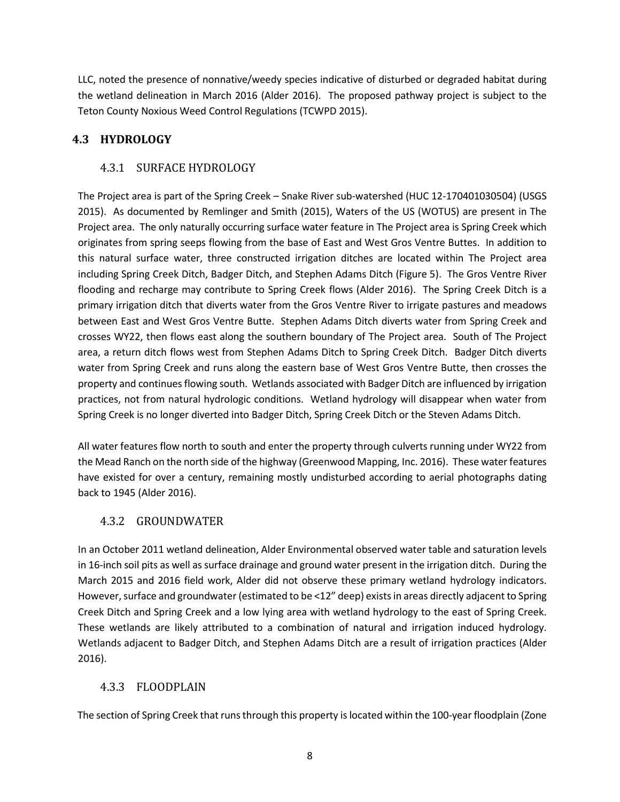LLC, noted the presence of nonnative/weedy species indicative of disturbed or degraded habitat during the wetland delineation in March 2016 (Alder 2016). The proposed pathway project is subject to the Teton County Noxious Weed Control Regulations (TCWPD 2015).

#### <span id="page-11-1"></span><span id="page-11-0"></span>**4.3 HYDROLOGY**

#### 4.3.1 SURFACE HYDROLOGY

The Project area is part of the Spring Creek – Snake River sub-watershed (HUC 12-170401030504) (USGS 2015). As documented by Remlinger and Smith (2015), Waters of the US (WOTUS) are present in The Project area. The only naturally occurring surface water feature in The Project area is Spring Creek which originates from spring seeps flowing from the base of East and West Gros Ventre Buttes. In addition to this natural surface water, three constructed irrigation ditches are located within The Project area including Spring Creek Ditch, Badger Ditch, and Stephen Adams Ditch (Figure 5). The Gros Ventre River flooding and recharge may contribute to Spring Creek flows (Alder 2016). The Spring Creek Ditch is a primary irrigation ditch that diverts water from the Gros Ventre River to irrigate pastures and meadows between East and West Gros Ventre Butte. Stephen Adams Ditch diverts water from Spring Creek and crosses WY22, then flows east along the southern boundary of The Project area. South of The Project area, a return ditch flows west from Stephen Adams Ditch to Spring Creek Ditch. Badger Ditch diverts water from Spring Creek and runs along the eastern base of West Gros Ventre Butte, then crosses the property and continues flowing south. Wetlands associated with Badger Ditch are influenced by irrigation practices, not from natural hydrologic conditions. Wetland hydrology will disappear when water from Spring Creek is no longer diverted into Badger Ditch, Spring Creek Ditch or the Steven Adams Ditch.

All water features flow north to south and enter the property through culverts running under WY22 from the Mead Ranch on the north side of the highway (Greenwood Mapping, Inc. 2016). These water features have existed for over a century, remaining mostly undisturbed according to aerial photographs dating back to 1945 (Alder 2016).

#### <span id="page-11-2"></span>4.3.2 GROUNDWATER

In an October 2011 wetland delineation, Alder Environmental observed water table and saturation levels in 16-inch soil pits as well as surface drainage and ground water present in the irrigation ditch. During the March 2015 and 2016 field work, Alder did not observe these primary wetland hydrology indicators. However, surface and groundwater (estimated to be <12" deep) exists in areas directly adjacent to Spring Creek Ditch and Spring Creek and a low lying area with wetland hydrology to the east of Spring Creek. These wetlands are likely attributed to a combination of natural and irrigation induced hydrology. Wetlands adjacent to Badger Ditch, and Stephen Adams Ditch are a result of irrigation practices (Alder 2016).

#### <span id="page-11-3"></span>4.3.3 FLOODPLAIN

The section of Spring Creek that runs through this property is located within the 100-year floodplain (Zone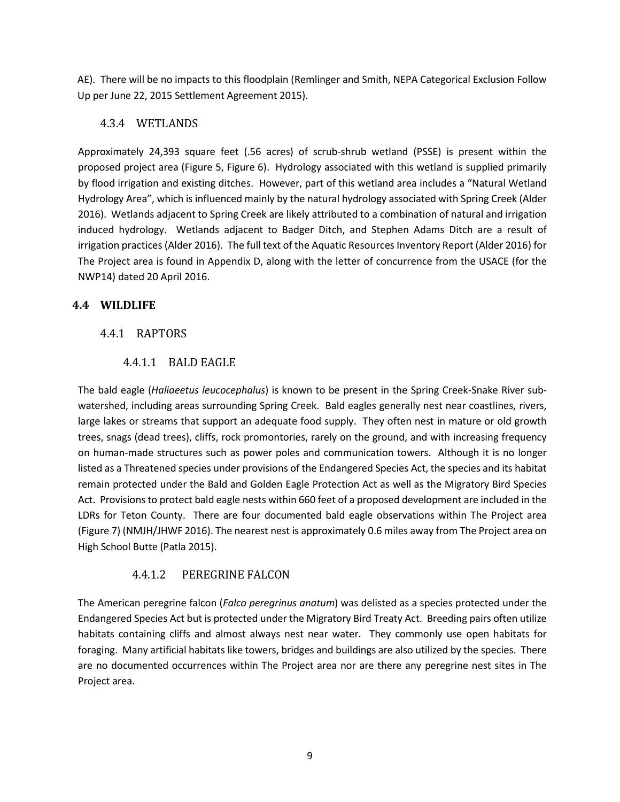<span id="page-12-0"></span>AE). There will be no impacts to this floodplain (Remlinger and Smith, NEPA Categorical Exclusion Follow Up per June 22, 2015 Settlement Agreement 2015).

#### 4.3.4 WETLANDS

Approximately 24,393 square feet (.56 acres) of scrub-shrub wetland (PSSE) is present within the proposed project area (Figure 5, Figure 6). Hydrology associated with this wetland is supplied primarily by flood irrigation and existing ditches. However, part of this wetland area includes a "Natural Wetland Hydrology Area", which is influenced mainly by the natural hydrology associated with Spring Creek (Alder 2016). Wetlands adjacent to Spring Creek are likely attributed to a combination of natural and irrigation induced hydrology. Wetlands adjacent to Badger Ditch, and Stephen Adams Ditch are a result of irrigation practices (Alder 2016). The full text of the Aquatic Resources Inventory Report (Alder 2016) for The Project area is found in Appendix D, along with the letter of concurrence from the USACE (for the NWP14) dated 20 April 2016.

#### <span id="page-12-2"></span><span id="page-12-1"></span>**4.4 WILDLIFE**

#### 4.4.1 RAPTORS

#### 4.4.1.1 BALD EAGLE

<span id="page-12-3"></span>The bald eagle (*Haliaeetus leucocephalus*) is known to be present in the Spring Creek-Snake River subwatershed, including areas surrounding Spring Creek. Bald eagles generally nest near coastlines, rivers, large lakes or streams that support an adequate food supply. They often nest in mature or old growth trees, snags (dead trees), cliffs, rock promontories, rarely on the ground, and with increasing frequency on human-made structures such as power poles and communication towers. Although it is no longer listed as a Threatened species under provisions of the Endangered Species Act, the species and its habitat remain protected under the Bald and Golden Eagle Protection Act as well as the Migratory Bird Species Act. Provisions to protect bald eagle nests within 660 feet of a proposed development are included in the LDRs for Teton County. There are four documented bald eagle observations within The Project area (Figure 7) (NMJH/JHWF 2016). The nearest nest is approximately 0.6 miles away from The Project area on High School Butte (Patla 2015).

#### 4.4.1.2 PEREGRINE FALCON

<span id="page-12-4"></span>The American peregrine falcon (*Falco peregrinus anatum*) was delisted as a species protected under the Endangered Species Act but is protected under the Migratory Bird Treaty Act. Breeding pairs often utilize habitats containing cliffs and almost always nest near water. They commonly use open habitats for foraging. Many artificial habitats like towers, bridges and buildings are also utilized by the species. There are no documented occurrences within The Project area nor are there any peregrine nest sites in The Project area.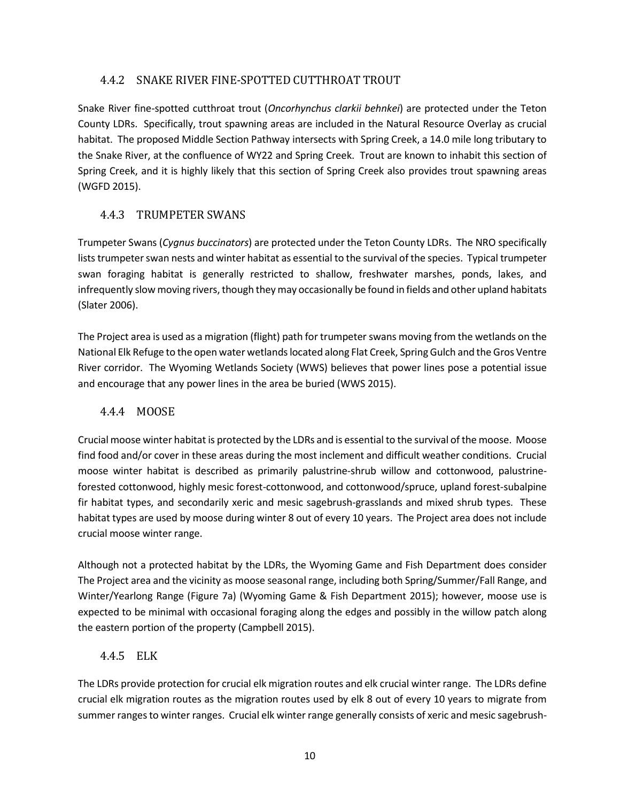#### <span id="page-13-0"></span>4.4.2 SNAKE RIVER FINE-SPOTTED CUTTHROAT TROUT

Snake River fine-spotted cutthroat trout (*Oncorhynchus clarkii behnkei*) are protected under the Teton County LDRs. Specifically, trout spawning areas are included in the Natural Resource Overlay as crucial habitat. The proposed Middle Section Pathway intersects with Spring Creek, a 14.0 mile long tributary to the Snake River, at the confluence of WY22 and Spring Creek. Trout are known to inhabit this section of Spring Creek, and it is highly likely that this section of Spring Creek also provides trout spawning areas (WGFD 2015).

#### <span id="page-13-1"></span>4.4.3 TRUMPETER SWANS

Trumpeter Swans (*Cygnus buccinators*) are protected under the Teton County LDRs. The NRO specifically lists trumpeter swan nests and winter habitat as essential to the survival of the species. Typical trumpeter swan foraging habitat is generally restricted to shallow, freshwater marshes, ponds, lakes, and infrequently slow moving rivers, though they may occasionally be found in fields and other upland habitats (Slater 2006).

The Project area is used as a migration (flight) path for trumpeter swans moving from the wetlands on the National Elk Refuge to the open water wetlands located along Flat Creek, Spring Gulch and the Gros Ventre River corridor. The Wyoming Wetlands Society (WWS) believes that power lines pose a potential issue and encourage that any power lines in the area be buried (WWS 2015).

#### <span id="page-13-2"></span>4.4.4 MOOSE

Crucial moose winter habitat is protected by the LDRs and is essential to the survival of the moose. Moose find food and/or cover in these areas during the most inclement and difficult weather conditions. Crucial moose winter habitat is described as primarily palustrine-shrub willow and cottonwood, palustrineforested cottonwood, highly mesic forest-cottonwood, and cottonwood/spruce, upland forest-subalpine fir habitat types, and secondarily xeric and mesic sagebrush-grasslands and mixed shrub types. These habitat types are used by moose during winter 8 out of every 10 years. The Project area does not include crucial moose winter range.

Although not a protected habitat by the LDRs, the Wyoming Game and Fish Department does consider The Project area and the vicinity as moose seasonal range, including both Spring/Summer/Fall Range, and Winter/Yearlong Range (Figure 7a) (Wyoming Game & Fish Department 2015); however, moose use is expected to be minimal with occasional foraging along the edges and possibly in the willow patch along the eastern portion of the property (Campbell 2015).

#### <span id="page-13-3"></span>4.4.5 ELK

The LDRs provide protection for crucial elk migration routes and elk crucial winter range. The LDRs define crucial elk migration routes as the migration routes used by elk 8 out of every 10 years to migrate from summer ranges to winter ranges. Crucial elk winter range generally consists of xeric and mesic sagebrush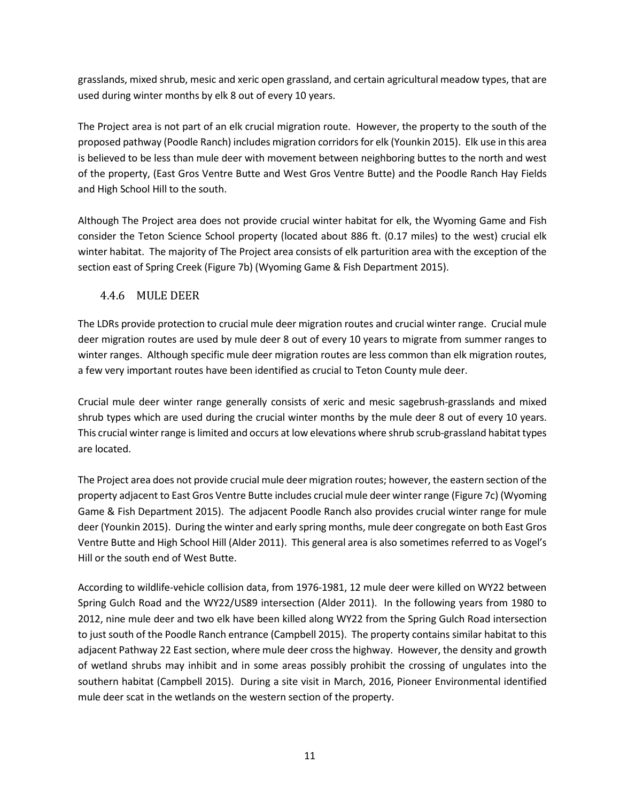grasslands, mixed shrub, mesic and xeric open grassland, and certain agricultural meadow types, that are used during winter months by elk 8 out of every 10 years.

The Project area is not part of an elk crucial migration route. However, the property to the south of the proposed pathway (Poodle Ranch) includes migration corridors for elk (Younkin 2015). Elk use in this area is believed to be less than mule deer with movement between neighboring buttes to the north and west of the property, (East Gros Ventre Butte and West Gros Ventre Butte) and the Poodle Ranch Hay Fields and High School Hill to the south.

Although The Project area does not provide crucial winter habitat for elk, the Wyoming Game and Fish consider the Teton Science School property (located about 886 ft. (0.17 miles) to the west) crucial elk winter habitat. The majority of The Project area consists of elk parturition area with the exception of the section east of Spring Creek (Figure 7b) (Wyoming Game & Fish Department 2015).

#### <span id="page-14-0"></span>4.4.6 MULE DEER

The LDRs provide protection to crucial mule deer migration routes and crucial winter range. Crucial mule deer migration routes are used by mule deer 8 out of every 10 years to migrate from summer ranges to winter ranges. Although specific mule deer migration routes are less common than elk migration routes, a few very important routes have been identified as crucial to Teton County mule deer.

Crucial mule deer winter range generally consists of xeric and mesic sagebrush-grasslands and mixed shrub types which are used during the crucial winter months by the mule deer 8 out of every 10 years. This crucial winter range is limited and occurs at low elevations where shrub scrub-grassland habitat types are located.

The Project area does not provide crucial mule deer migration routes; however, the eastern section of the property adjacent to East Gros Ventre Butte includes crucial mule deer winter range (Figure 7c) (Wyoming Game & Fish Department 2015). The adjacent Poodle Ranch also provides crucial winter range for mule deer (Younkin 2015). During the winter and early spring months, mule deer congregate on both East Gros Ventre Butte and High School Hill (Alder 2011). This general area is also sometimes referred to as Vogel's Hill or the south end of West Butte.

According to wildlife-vehicle collision data, from 1976-1981, 12 mule deer were killed on WY22 between Spring Gulch Road and the WY22/US89 intersection (Alder 2011). In the following years from 1980 to 2012, nine mule deer and two elk have been killed along WY22 from the Spring Gulch Road intersection to just south of the Poodle Ranch entrance (Campbell 2015). The property contains similar habitat to this adjacent Pathway 22 East section, where mule deer cross the highway. However, the density and growth of wetland shrubs may inhibit and in some areas possibly prohibit the crossing of ungulates into the southern habitat (Campbell 2015). During a site visit in March, 2016, Pioneer Environmental identified mule deer scat in the wetlands on the western section of the property.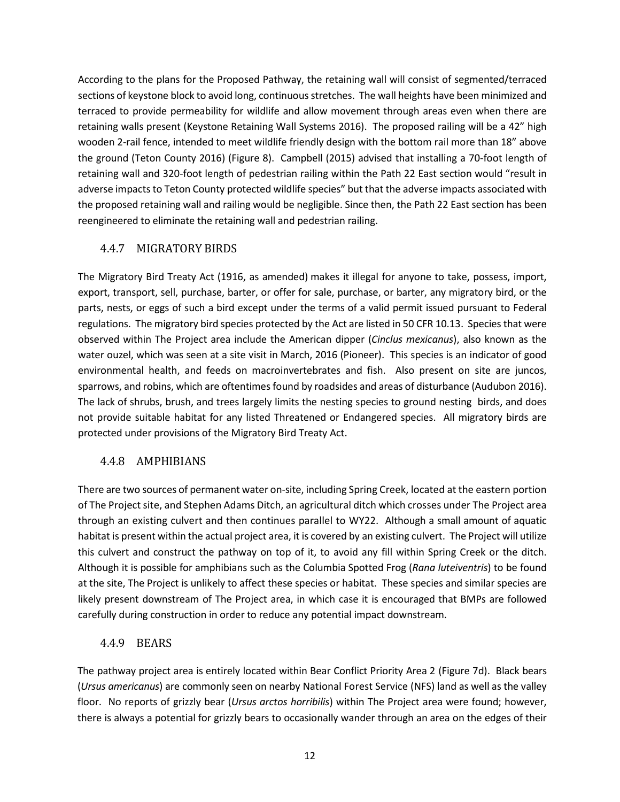According to the plans for the Proposed Pathway, the retaining wall will consist of segmented/terraced sections of keystone block to avoid long, continuous stretches. The wall heights have been minimized and terraced to provide permeability for wildlife and allow movement through areas even when there are retaining walls present (Keystone Retaining Wall Systems 2016). The proposed railing will be a 42" high wooden 2-rail fence, intended to meet wildlife friendly design with the bottom rail more than 18" above the ground (Teton County 2016) (Figure 8). Campbell (2015) advised that installing a 70-foot length of retaining wall and 320-foot length of pedestrian railing within the Path 22 East section would "result in adverse impacts to Teton County protected wildlife species" but that the adverse impacts associated with the proposed retaining wall and railing would be negligible. Since then, the Path 22 East section has been reengineered to eliminate the retaining wall and pedestrian railing.

#### <span id="page-15-0"></span>4.4.7 MIGRATORY BIRDS

The Migratory Bird Treaty Act (1916, as amended) makes it illegal for anyone to take, possess, import, export, transport, sell, purchase, barter, or offer for sale, purchase, or barter, any migratory bird, or the parts, nests, or eggs of such a bird except under the terms of a valid permit issued pursuant to Federal regulations. The migratory bird species protected by the Act are listed in 50 CFR 10.13. Species that were observed within The Project area include the American dipper (*Cinclus mexicanus*), also known as the water ouzel, which was seen at a site visit in March, 2016 (Pioneer). This species is an indicator of good environmental health, and feeds on macroinvertebrates and fish. Also present on site are juncos, sparrows, and robins, which are oftentimes found by roadsides and areas of disturbance (Audubon 2016). The lack of shrubs, brush, and trees largely limits the nesting species to ground nesting birds, and does not provide suitable habitat for any listed Threatened or Endangered species. All migratory birds are protected under provisions of the Migratory Bird Treaty Act.

#### <span id="page-15-1"></span>4.4.8 AMPHIBIANS

There are two sources of permanent water on-site, including Spring Creek, located at the eastern portion of The Project site, and Stephen Adams Ditch, an agricultural ditch which crosses under The Project area through an existing culvert and then continues parallel to WY22. Although a small amount of aquatic habitat is present within the actual project area, it is covered by an existing culvert. The Project will utilize this culvert and construct the pathway on top of it, to avoid any fill within Spring Creek or the ditch. Although it is possible for amphibians such as the Columbia Spotted Frog (*Rana luteiventris*) to be found at the site, The Project is unlikely to affect these species or habitat. These species and similar species are likely present downstream of The Project area, in which case it is encouraged that BMPs are followed carefully during construction in order to reduce any potential impact downstream.

#### <span id="page-15-2"></span>4.4.9 BEARS

The pathway project area is entirely located within Bear Conflict Priority Area 2 (Figure 7d). Black bears (*Ursus americanus*) are commonly seen on nearby National Forest Service (NFS) land as well as the valley floor. No reports of grizzly bear (*Ursus arctos horribilis*) within The Project area were found; however, there is always a potential for grizzly bears to occasionally wander through an area on the edges of their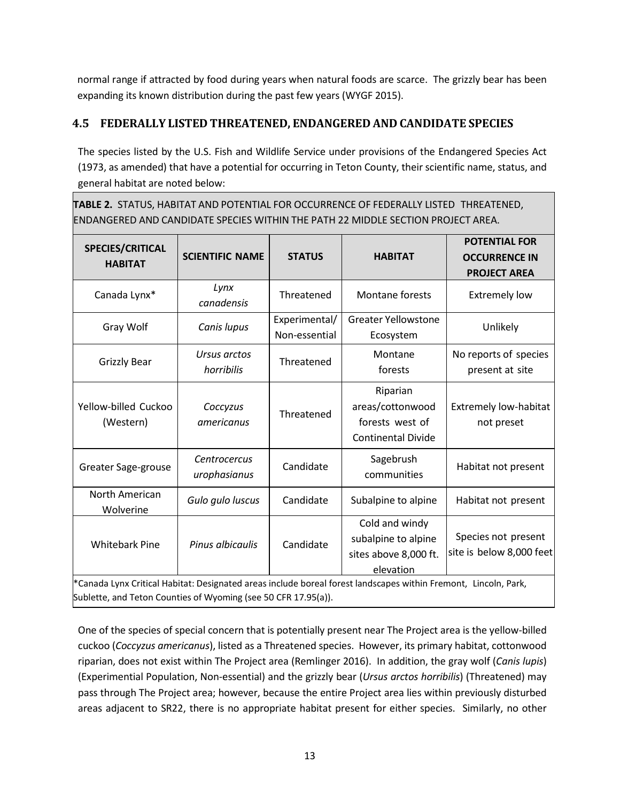normal range if attracted by food during years when natural foods are scarce. The grizzly bear has been expanding its known distribution during the past few years (WYGF 2015).

#### <span id="page-16-0"></span>**4.5 FEDERALLY LISTED THREATENED, ENDANGERED AND CANDIDATE SPECIES**

The species listed by the U.S. Fish and Wildlife Service under provisions of the Endangered Species Act (1973, as amended) that have a potential for occurring in Teton County, their scientific name, status, and general habitat are noted below:

**TABLE 2.** STATUS, HABITAT AND POTENTIAL FOR OCCURRENCE OF FEDERALLY LISTED THREATENED, ENDANGERED AND CANDIDATE SPECIES WITHIN THE PATH 22 MIDDLE SECTION PROJECT AREA.

| SPECIES/CRITICAL<br><b>HABITAT</b>                                                                                                                                                | <b>SCIENTIFIC NAME</b>       | <b>STATUS</b>                  | <b>HABITAT</b>                                                               | <b>POTENTIAL FOR</b><br><b>OCCURRENCE IN</b><br><b>PROJECT AREA</b> |
|-----------------------------------------------------------------------------------------------------------------------------------------------------------------------------------|------------------------------|--------------------------------|------------------------------------------------------------------------------|---------------------------------------------------------------------|
| Canada Lynx*                                                                                                                                                                      | Lynx<br>canadensis           | Threatened                     | Montane forests                                                              | <b>Extremely low</b>                                                |
| Gray Wolf                                                                                                                                                                         | Canis lupus                  | Experimental/<br>Non-essential | <b>Greater Yellowstone</b><br>Ecosystem                                      | Unlikely                                                            |
| <b>Grizzly Bear</b>                                                                                                                                                               | Ursus arctos<br>horribilis   | Threatened                     | Montane<br>forests                                                           | No reports of species<br>present at site                            |
| Yellow-billed Cuckoo<br>(Western)                                                                                                                                                 | Coccyzus<br>americanus       | Threatened                     | Riparian<br>areas/cottonwood<br>forests west of<br><b>Continental Divide</b> | <b>Extremely low-habitat</b><br>not preset                          |
| Greater Sage-grouse                                                                                                                                                               | Centrocercus<br>urophasianus | Candidate                      | Sagebrush<br>communities                                                     | Habitat not present                                                 |
| North American<br>Wolverine                                                                                                                                                       | Gulo gulo luscus             | Candidate                      | Subalpine to alpine                                                          | Habitat not present                                                 |
| <b>Whitebark Pine</b>                                                                                                                                                             | Pinus albicaulis             | Candidate                      | Cold and windy<br>subalpine to alpine<br>sites above 8,000 ft.<br>elevation  | Species not present<br>site is below 8,000 feet                     |
| *Canada Lynx Critical Habitat: Designated areas include boreal forest landscapes within Fremont, Lincoln, Park,<br>Sublette, and Teton Counties of Wyoming (see 50 CFR 17.95(a)). |                              |                                |                                                                              |                                                                     |

One of the species of special concern that is potentially present near The Project area is the yellow-billed cuckoo (*Coccyzus americanus*), listed as a Threatened species. However, its primary habitat, cottonwood riparian, does not exist within The Project area (Remlinger 2016). In addition, the gray wolf (*Canis lupis*) (Experimential Population, Non-essential) and the grizzly bear (*Ursus arctos horribilis*) (Threatened) may pass through The Project area; however, because the entire Project area lies within previously disturbed areas adjacent to SR22, there is no appropriate habitat present for either species. Similarly, no other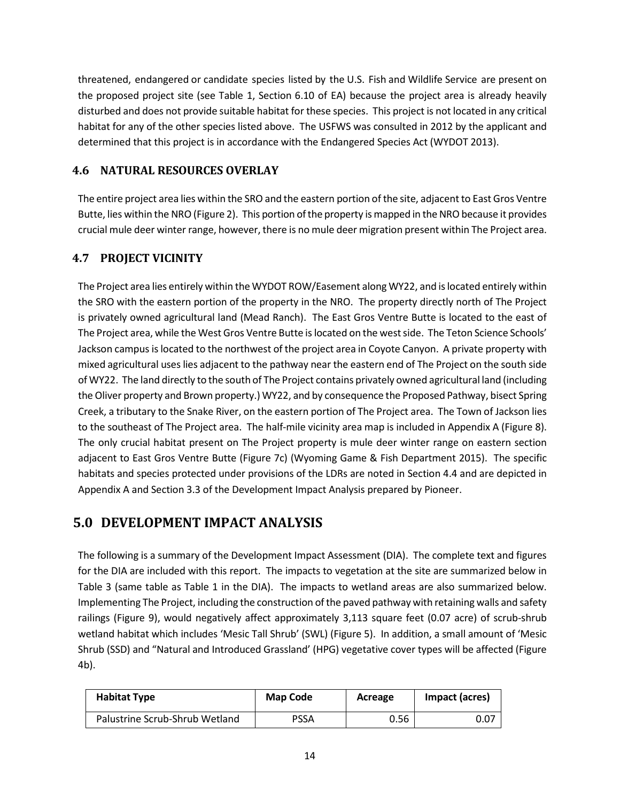threatened, endangered or candidate species listed by the U.S. Fish and Wildlife Service are present on the proposed project site (see Table 1, Section 6.10 of EA) because the project area is already heavily disturbed and does not provide suitable habitat for these species. This project is not located in any critical habitat for any of the other species listed above. The USFWS was consulted in 2012 by the applicant and determined that this project is in accordance with the Endangered Species Act (WYDOT 2013).

#### <span id="page-17-0"></span>**4.6 NATURAL RESOURCES OVERLAY**

The entire project area lies within the SRO and the eastern portion of the site, adjacent to East Gros Ventre Butte, lies within the NRO (Figure 2). This portion of the property is mapped in the NRO because it provides crucial mule deer winter range, however, there is no mule deer migration present within The Project area.

#### <span id="page-17-1"></span>**4.7 PROJECT VICINITY**

The Project area lies entirely within the WYDOT ROW/Easement along WY22, and is located entirely within the SRO with the eastern portion of the property in the NRO. The property directly north of The Project is privately owned agricultural land (Mead Ranch). The East Gros Ventre Butte is located to the east of The Project area, while the West Gros Ventre Butte is located on the west side. The Teton Science Schools' Jackson campus is located to the northwest of the project area in Coyote Canyon. A private property with mixed agricultural uses lies adjacent to the pathway near the eastern end of The Project on the south side of WY22. The land directly to the south of The Project contains privately owned agricultural land (including the Oliver property and Brown property.) WY22, and by consequence the Proposed Pathway, bisect Spring Creek, a tributary to the Snake River, on the eastern portion of The Project area. The Town of Jackson lies to the southeast of The Project area. The half-mile vicinity area map is included in Appendix A (Figure 8). The only crucial habitat present on The Project property is mule deer winter range on eastern section adjacent to East Gros Ventre Butte (Figure 7c) (Wyoming Game & Fish Department 2015). The specific habitats and species protected under provisions of the LDRs are noted in Section 4.4 and are depicted in Appendix A and Section 3.3 of the Development Impact Analysis prepared by Pioneer.

# <span id="page-17-2"></span>**5.0 DEVELOPMENT IMPACT ANALYSIS**

The following is a summary of the Development Impact Assessment (DIA). The complete text and figures for the DIA are included with this report. The impacts to vegetation at the site are summarized below in Table 3 (same table as Table 1 in the DIA). The impacts to wetland areas are also summarized below. Implementing The Project, including the construction of the paved pathway with retaining walls and safety railings (Figure 9), would negatively affect approximately 3,113 square feet (0.07 acre) of scrub-shrub wetland habitat which includes 'Mesic Tall Shrub' (SWL) (Figure 5). In addition, a small amount of 'Mesic Shrub (SSD) and "Natural and Introduced Grassland' (HPG) vegetative cover types will be affected (Figure 4b).

| Habitat Type                   | <b>Map Code</b> | Acreage | Impact (acres) |
|--------------------------------|-----------------|---------|----------------|
| Palustrine Scrub-Shrub Wetland | PSSA            | 0.56    | 0.07           |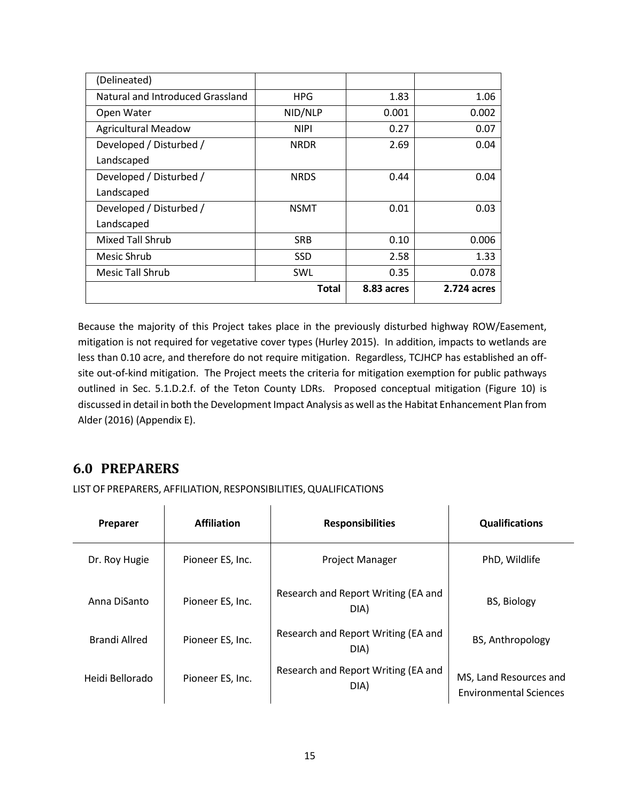| (Delineated)                     |             |            |             |
|----------------------------------|-------------|------------|-------------|
| Natural and Introduced Grassland | <b>HPG</b>  | 1.83       | 1.06        |
| Open Water                       | NID/NLP     | 0.001      | 0.002       |
| <b>Agricultural Meadow</b>       | <b>NIPI</b> | 0.27       | 0.07        |
| Developed / Disturbed /          | <b>NRDR</b> | 2.69       | 0.04        |
| Landscaped                       |             |            |             |
| Developed / Disturbed /          | <b>NRDS</b> | 0.44       | 0.04        |
| Landscaped                       |             |            |             |
| Developed / Disturbed /          | <b>NSMT</b> | 0.01       | 0.03        |
| Landscaped                       |             |            |             |
| Mixed Tall Shrub                 | <b>SRB</b>  | 0.10       | 0.006       |
| Mesic Shrub                      | <b>SSD</b>  | 2.58       | 1.33        |
| Mesic Tall Shrub                 | SWL         | 0.35       | 0.078       |
|                                  | Total       | 8.83 acres | 2.724 acres |

Because the majority of this Project takes place in the previously disturbed highway ROW/Easement, mitigation is not required for vegetative cover types (Hurley 2015). In addition, impacts to wetlands are less than 0.10 acre, and therefore do not require mitigation. Regardless, TCJHCP has established an offsite out-of-kind mitigation. The Project meets the criteria for mitigation exemption for public pathways outlined in Sec. 5.1.D.2.f. of the Teton County LDRs. Proposed conceptual mitigation (Figure 10) is discussed in detail in both the Development Impact Analysis as well asthe Habitat Enhancement Plan from Alder (2016) (Appendix E).

## <span id="page-18-0"></span>**6.0 PREPARERS**

LIST OF PREPARERS, AFFILIATION, RESPONSIBILITIES,QUALIFICATIONS

| Preparer        | <b>Affiliation</b> | <b>Responsibilities</b>                     | <b>Qualifications</b>                                   |
|-----------------|--------------------|---------------------------------------------|---------------------------------------------------------|
| Dr. Roy Hugie   | Pioneer ES, Inc.   | Project Manager                             | PhD, Wildlife                                           |
| Anna DiSanto    | Pioneer ES, Inc.   | Research and Report Writing (EA and<br>DIA) | <b>BS, Biology</b>                                      |
| Brandi Allred   | Pioneer ES, Inc.   | Research and Report Writing (EA and<br>DIA) | BS, Anthropology                                        |
| Heidi Bellorado | Pioneer ES, Inc.   | Research and Report Writing (EA and<br>DIA) | MS, Land Resources and<br><b>Environmental Sciences</b> |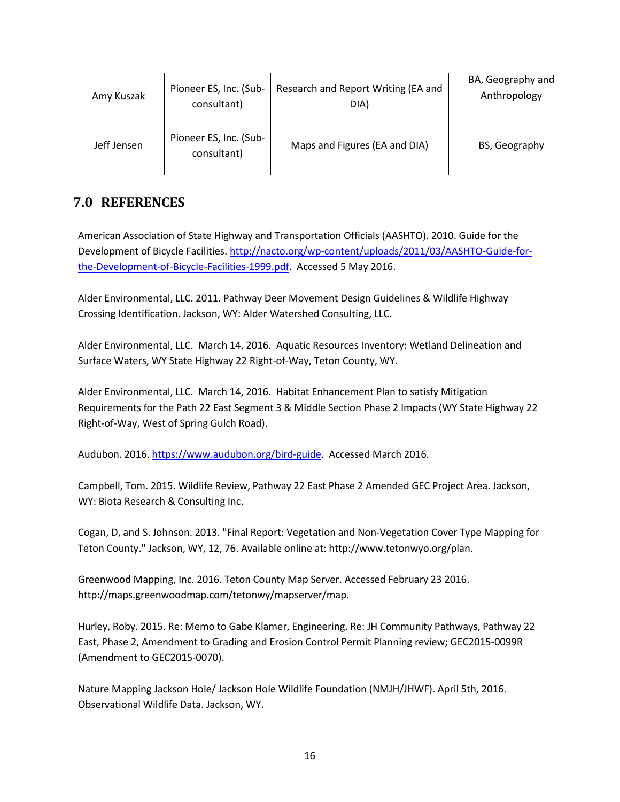| Amy Kuszak  | Pioneer ES, Inc. (Sub-                | Research and Report Writing (EA and | BA, Geography and |
|-------------|---------------------------------------|-------------------------------------|-------------------|
|             | consultant)                           | DIA)                                | Anthropology      |
| Jeff Jensen | Pioneer ES, Inc. (Sub-<br>consultant) | Maps and Figures (EA and DIA)       | BS, Geography     |

### <span id="page-19-1"></span><span id="page-19-0"></span>**7.0 REFERENCES**

American Association of State Highway and Transportation Officials (AASHTO). 2010. Guide for the Development of Bicycle Facilities. [http://nacto.org/wp-content/uploads/2011/03/AASHTO-Guide-for](http://nacto.org/wp-content/uploads/2011/03/AASHTO-Guide-for-the-Development-of-Bicycle-Facilities-1999.pdf)[the-Development-of-Bicycle-Facilities-1999.pdf.](http://nacto.org/wp-content/uploads/2011/03/AASHTO-Guide-for-the-Development-of-Bicycle-Facilities-1999.pdf) Accessed 5 May 2016.

Alder Environmental, LLC. 2011. Pathway Deer Movement Design Guidelines & Wildlife Highway Crossing Identification. Jackson, WY: Alder Watershed Consulting, LLC.

Alder Environmental, LLC. March 14, 2016. Aquatic Resources Inventory: Wetland Delineation and Surface Waters, WY State Highway 22 Right-of-Way, Teton County, WY.

Alder Environmental, LLC. March 14, 2016. Habitat Enhancement Plan to satisfy Mitigation Requirements for the Path 22 East Segment 3 & Middle Section Phase 2 Impacts (WY State Highway 22 Right-of-Way, West of Spring Gulch Road).

Audubon. 2016. [https://www.audubon.org/bird-guide.](https://www.audubon.org/bird-guide) Accessed March 2016.

Campbell, Tom. 2015. Wildlife Review, Pathway 22 East Phase 2 Amended GEC Project Area. Jackson, WY: Biota Research & Consulting Inc.

Cogan, D, and S. Johnson. 2013. "Final Report: Vegetation and Non-Vegetation Cover Type Mapping for Teton County." Jackson, WY, 12, 76. Available online at: http://www.tetonwyo.org/plan.

Greenwood Mapping, Inc. 2016. Teton County Map Server. Accessed February 23 2016. http://maps.greenwoodmap.com/tetonwy/mapserver/map.

Hurley, Roby. 2015. Re: Memo to Gabe Klamer, Engineering. Re: JH Community Pathways, Pathway 22 East, Phase 2, Amendment to Grading and Erosion Control Permit Planning review; GEC2015-0099R (Amendment to GEC2015-0070).

Nature Mapping Jackson Hole/ Jackson Hole Wildlife Foundation (NMJH/JHWF). April 5th, 2016. Observational Wildlife Data. Jackson, WY.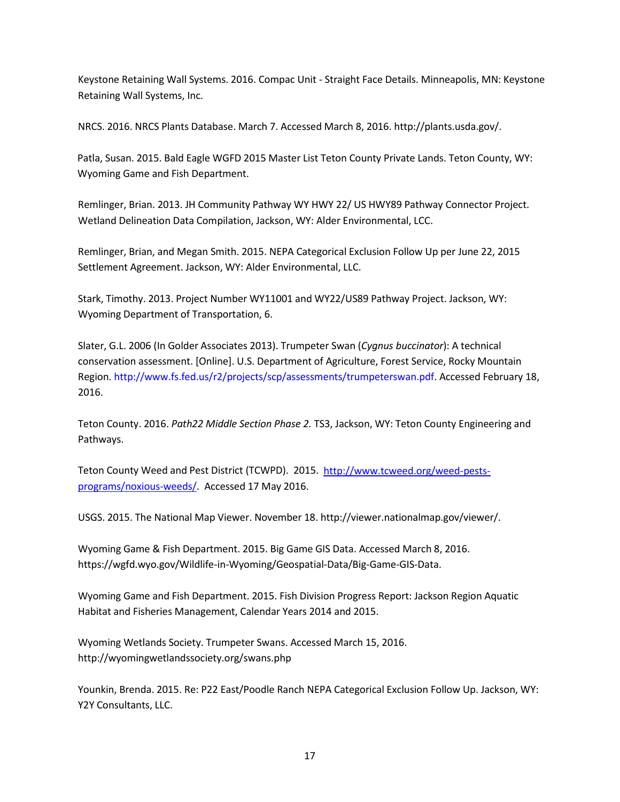Keystone Retaining Wall Systems. 2016. Compac Unit - Straight Face Details. Minneapolis, MN: Keystone Retaining Wall Systems, Inc.

NRCS. 2016. NRCS Plants Database. March 7. Accessed March 8, 2016. http://plants.usda.gov/.

Patla, Susan. 2015. Bald Eagle WGFD 2015 Master List Teton County Private Lands. Teton County, WY: Wyoming Game and Fish Department.

Remlinger, Brian. 2013. JH Community Pathway WY HWY 22/ US HWY89 Pathway Connector Project. Wetland Delineation Data Compilation, Jackson, WY: Alder Environmental, LCC.

Remlinger, Brian, and Megan Smith. 2015. NEPA Categorical Exclusion Follow Up per June 22, 2015 Settlement Agreement. Jackson, WY: Alder Environmental, LLC.

Stark, Timothy. 2013. Project Number WY11001 and WY22/US89 Pathway Project. Jackson, WY: Wyoming Department of Transportation, 6.

Slater, G.L. 2006 (In Golder Associates 2013). Trumpeter Swan (*Cygnus buccinator*): A technical conservation assessment. [Online]. U.S. Department of Agriculture, Forest Service, Rocky Mountain Region[. http://www.fs.fed.us/r2/projects/scp/assessments/trumpeterswan.pdf.](http://www.fs.fed.us/r2/projects/scp/assessments/trumpeterswan.pdf) Accessed February 18, 2016.

Teton County. 2016. *Path22 Middle Section Phase 2.* TS3, Jackson, WY: Teton County Engineering and Pathways.

Teton County Weed and Pest District (TCWPD). 2015. [http://www.tcweed.org/weed-pests](http://www.tcweed.org/weed-pests-programs/noxious-weeds/)[programs/noxious-weeds/.](http://www.tcweed.org/weed-pests-programs/noxious-weeds/) Accessed 17 May 2016.

USGS. 2015. The National Map Viewer. November 18. http://viewer.nationalmap.gov/viewer/.

Wyoming Game & Fish Department. 2015. Big Game GIS Data. Accessed March 8, 2016. https://wgfd.wyo.gov/Wildlife-in-Wyoming/Geospatial-Data/Big-Game-GIS-Data.

Wyoming Game and Fish Department. 2015. Fish Division Progress Report: Jackson Region Aquatic Habitat and Fisheries Management, Calendar Years 2014 and 2015.

Wyoming Wetlands Society. Trumpeter Swans. Accessed March 15, 2016. http://wyomingwetlandssociety.org/swans.php

Younkin, Brenda. 2015. Re: P22 East/Poodle Ranch NEPA Categorical Exclusion Follow Up. Jackson, WY: Y2Y Consultants, LLC.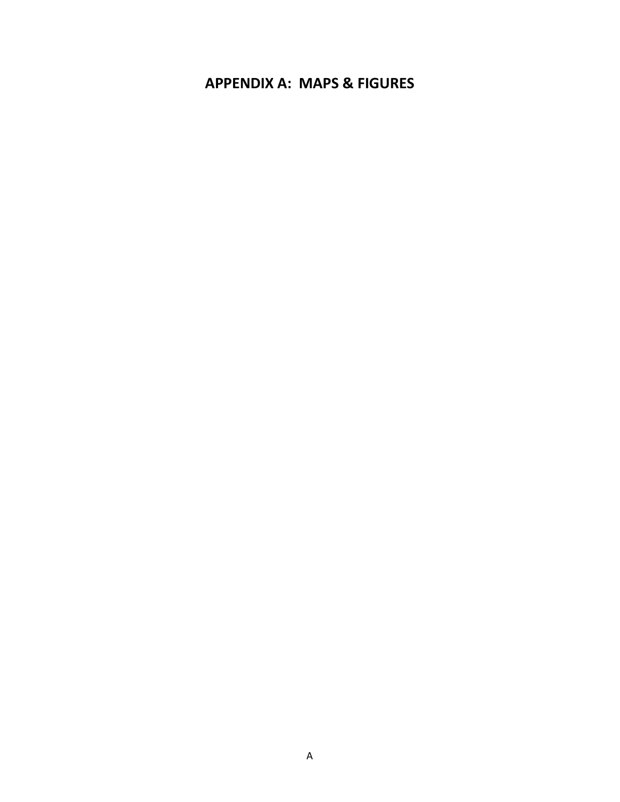# **APPENDIX A: MAPS & FIGURES**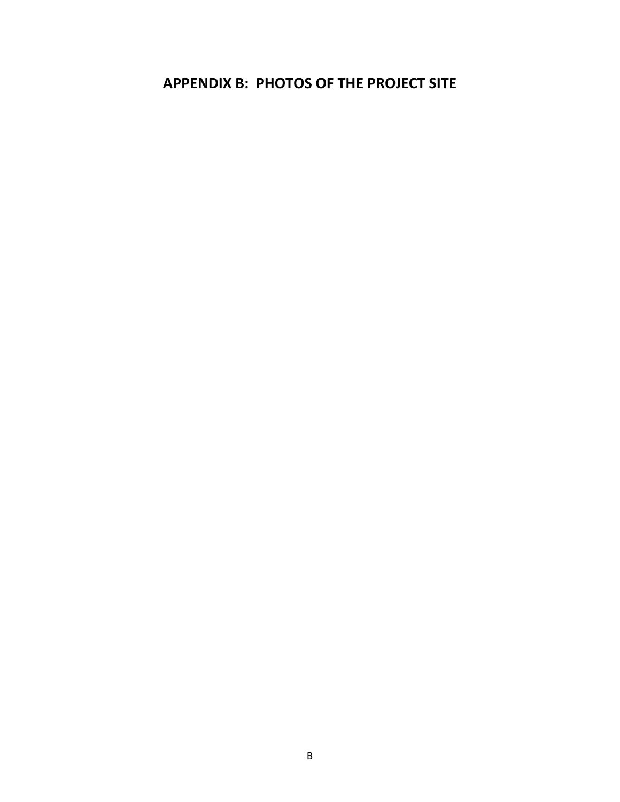# <span id="page-22-0"></span>**APPENDIX B: PHOTOS OF THE PROJECT SITE**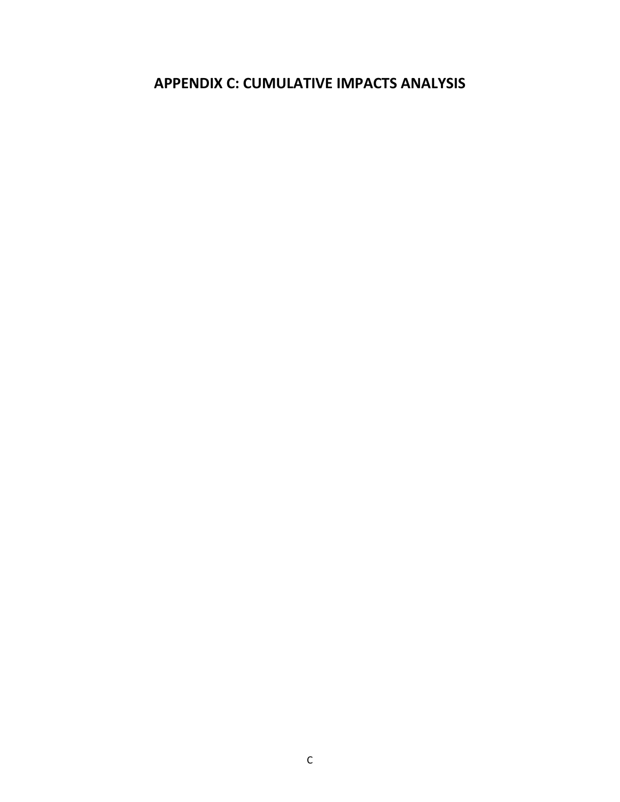# **APPENDIX C: CUMULATIVE IMPACTS ANALYSIS**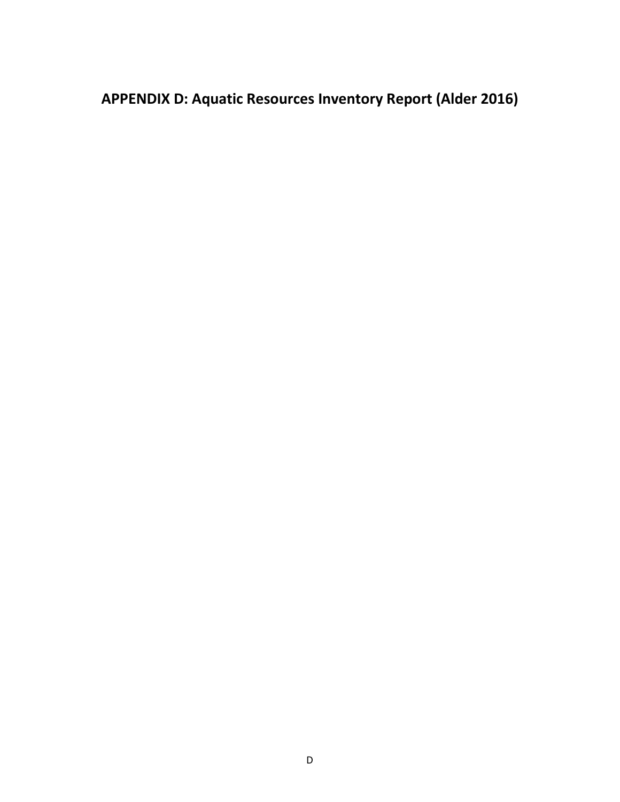# **APPENDIX D: Aquatic Resources Inventory Report (Alder 2016)**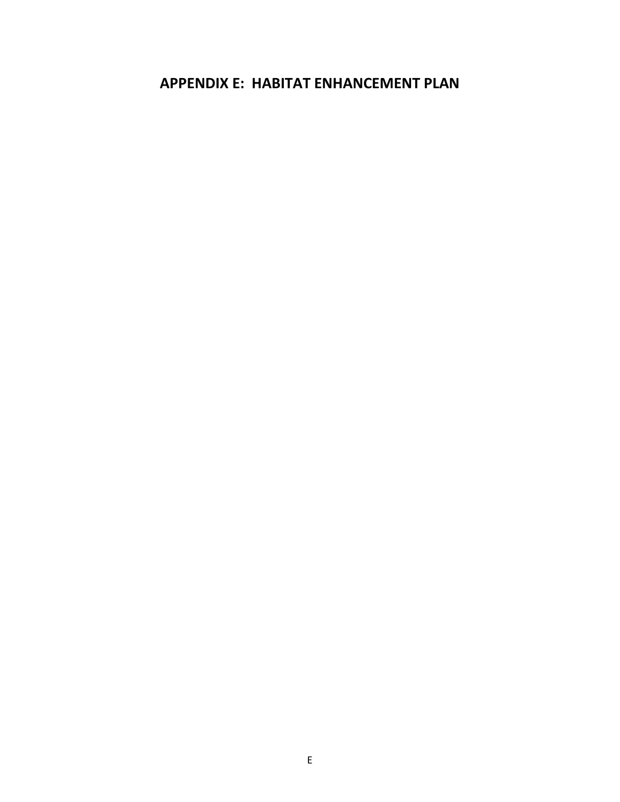# **APPENDIX E: HABITAT ENHANCEMENT PLAN**